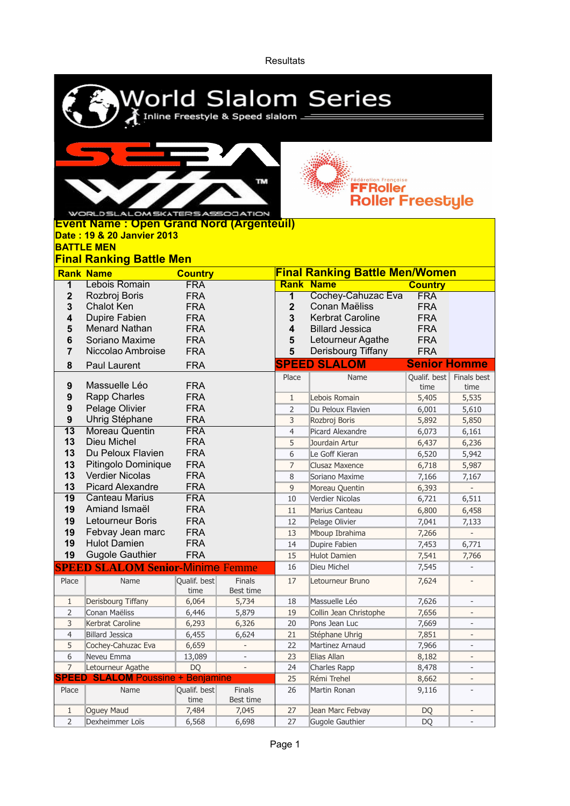**Resultats** 

| World Slalom Series<br>Inline Freestyle & Speed slalom _______ |                                         |                          |                          |                                       |                                               |                          |                              |  |  |  |  |  |  |
|----------------------------------------------------------------|-----------------------------------------|--------------------------|--------------------------|---------------------------------------|-----------------------------------------------|--------------------------|------------------------------|--|--|--|--|--|--|
|                                                                |                                         |                          |                          |                                       |                                               |                          |                              |  |  |  |  |  |  |
|                                                                |                                         |                          |                          |                                       |                                               |                          |                              |  |  |  |  |  |  |
|                                                                |                                         |                          | TM.                      |                                       | <b>Edération Française</b><br><b>FFRoller</b> |                          |                              |  |  |  |  |  |  |
|                                                                |                                         |                          |                          |                                       | <b>Roller Freestyle</b>                       |                          |                              |  |  |  |  |  |  |
|                                                                | WORLD SLALOM SKATERS ASSOCIATION        |                          |                          |                                       |                                               |                          |                              |  |  |  |  |  |  |
| <b>Event Name: Open Grand Nord (Argenteuil)</b>                |                                         |                          |                          |                                       |                                               |                          |                              |  |  |  |  |  |  |
| Date: 19 & 20 Janvier 2013                                     |                                         |                          |                          |                                       |                                               |                          |                              |  |  |  |  |  |  |
| <b>BATTLE MEN</b>                                              |                                         |                          |                          |                                       |                                               |                          |                              |  |  |  |  |  |  |
| <b>Final Ranking Battle Men</b>                                |                                         |                          |                          |                                       |                                               |                          |                              |  |  |  |  |  |  |
|                                                                | <b>Rank Name</b>                        | <b>Country</b>           |                          | <b>Final Ranking Battle Men/Women</b> |                                               |                          |                              |  |  |  |  |  |  |
| 1                                                              | Lebois Romain                           | <b>FRA</b>               |                          | <b>Rank</b>                           | <b>Name</b>                                   | <b>Country</b>           |                              |  |  |  |  |  |  |
| 2                                                              | Rozbroj Boris                           | <b>FRA</b>               |                          | 1                                     | Cochey-Cahuzac Eva                            | <b>FRA</b>               |                              |  |  |  |  |  |  |
| 3                                                              | <b>Chalot Ken</b>                       | <b>FRA</b>               |                          | $\mathbf{2}$                          | Conan Maëliss                                 | <b>FRA</b>               |                              |  |  |  |  |  |  |
| 4                                                              | Dupire Fabien                           | <b>FRA</b>               |                          | 3                                     | <b>Kerbrat Caroline</b>                       | <b>FRA</b>               |                              |  |  |  |  |  |  |
| 5                                                              | <b>Menard Nathan</b>                    | <b>FRA</b>               |                          | 4                                     | <b>Billard Jessica</b>                        | <b>FRA</b>               |                              |  |  |  |  |  |  |
| 6                                                              | Soriano Maxime<br>Niccolao Ambroise     | <b>FRA</b><br><b>FRA</b> |                          | 5<br>5                                | Letourneur Agathe<br>Derisbourg Tiffany       | <b>FRA</b><br><b>FRA</b> |                              |  |  |  |  |  |  |
| 7                                                              |                                         |                          |                          |                                       |                                               |                          |                              |  |  |  |  |  |  |
| 8                                                              | Paul Laurent                            | <b>FRA</b>               |                          |                                       | <b>SPEED SLALOM</b>                           | <b>Senior Homme</b>      |                              |  |  |  |  |  |  |
| 9                                                              | Massuelle Léo                           | <b>FRA</b>               |                          | Place                                 | Name                                          | Qualif. best             | Finals best                  |  |  |  |  |  |  |
| 9                                                              | <b>Rapp Charles</b>                     | <b>FRA</b>               |                          | $\mathbf{1}$                          | Lebois Romain                                 | time<br>5,405            | time<br>5,535                |  |  |  |  |  |  |
| 9                                                              | Pelage Olivier                          | <b>FRA</b>               |                          | $\overline{2}$                        | Du Peloux Flavien                             | 6,001                    | 5,610                        |  |  |  |  |  |  |
| 9                                                              | Uhrig Stéphane                          | <b>FRA</b>               |                          | 3                                     | Rozbroj Boris                                 | 5,892                    | 5,850                        |  |  |  |  |  |  |
| $\overline{13}$                                                | <b>Moreau Quentin</b>                   | <b>FRA</b>               |                          | $\overline{4}$                        | Picard Alexandre                              | 6,073                    | 6,161                        |  |  |  |  |  |  |
| 13                                                             | Dieu Michel                             | <b>FRA</b>               |                          | 5                                     | Jourdain Artur                                | 6,437                    | 6,236                        |  |  |  |  |  |  |
| 13                                                             | Du Peloux Flavien                       | <b>FRA</b>               |                          | 6                                     | Le Goff Kieran                                | 6,520                    | 5,942                        |  |  |  |  |  |  |
| 13                                                             | Pitingolo Dominique                     | <b>FRA</b>               |                          | $\overline{7}$                        | Clusaz Maxence                                | 6,718                    | 5,987                        |  |  |  |  |  |  |
| 13                                                             | <b>Verdier Nicolas</b>                  | <b>FRA</b>               |                          | 8                                     | Soriano Maxime                                | 7,166                    | 7,167                        |  |  |  |  |  |  |
| 13                                                             | <b>Picard Alexandre</b>                 | <b>FRA</b>               |                          | 9                                     | Moreau Quentin                                | 6,393                    |                              |  |  |  |  |  |  |
| 19                                                             | Canteau Marius                          | <b>FRA</b>               |                          | 10                                    | Verdier Nicolas                               | 6,721                    | 6,511                        |  |  |  |  |  |  |
| 19                                                             | Amiand Ismaël                           | <b>FRA</b>               |                          | $11\,$                                | Marius Canteau                                | 6,800                    | 6,458                        |  |  |  |  |  |  |
| 19                                                             | Letourneur Boris                        | <b>FRA</b>               |                          | 12                                    | Pelage Olivier                                | 7,041                    | 7,133                        |  |  |  |  |  |  |
| 19                                                             | Febvay Jean marc                        | <b>FRA</b>               |                          | 13                                    | Mboup Ibrahima                                | 7,266                    |                              |  |  |  |  |  |  |
| 19                                                             | <b>Hulot Damien</b>                     | <b>FRA</b>               |                          | 14                                    | Dupire Fabien                                 | 7,453                    | 6,771                        |  |  |  |  |  |  |
| 19                                                             | <b>Gugole Gauthier</b>                  | <b>FRA</b>               |                          | 15                                    | <b>Hulot Damien</b>                           | 7,541                    | 7,766                        |  |  |  |  |  |  |
|                                                                | <b>SPEED SLALOM Senior-Minime Femme</b> |                          |                          | 16                                    | Dieu Michel                                   | 7,545                    |                              |  |  |  |  |  |  |
| Place                                                          | Name                                    | Qualif. best<br>time     | Finals<br>Best time      | 17                                    | Letourneur Bruno                              | 7,624                    |                              |  |  |  |  |  |  |
| $\mathbf{1}$                                                   | Derisbourg Tiffany                      | 6,064                    | 5,734                    | 18                                    | Massuelle Léo                                 | 7,626                    |                              |  |  |  |  |  |  |
| $\overline{2}$<br>3                                            | Conan Maëliss<br>Kerbrat Caroline       | 6,446                    | 5,879                    | 19<br>20                              | Collin Jean Christophe<br>Pons Jean Luc       | 7,656                    |                              |  |  |  |  |  |  |
| 4                                                              | <b>Billard Jessica</b>                  | 6,293<br>6,455           | 6,326<br>6,624           | 21                                    | Stéphane Uhrig                                | 7,669<br>7,851           |                              |  |  |  |  |  |  |
| 5                                                              | Cochey-Cahuzac Eva                      | 6,659                    | $\overline{\phantom{a}}$ | 22                                    | Martinez Arnaud                               | 7,966                    | $\frac{1}{2}$                |  |  |  |  |  |  |
| 6                                                              | Neveu Emma                              | 13,089                   | $\overline{\phantom{a}}$ | 23                                    | Elias Allan                                   | 8,182                    | $\qquad \qquad \blacksquare$ |  |  |  |  |  |  |
| $\overline{7}$                                                 | Letourneur Agathe                       | <b>DQ</b>                | $\Box$                   | 24                                    | Charles Rapp                                  | 8,478                    |                              |  |  |  |  |  |  |
| SPEED                                                          | <b>SLALOM Poussine + Benjamine</b>      |                          |                          | 25                                    | Rémi Trehel                                   | 8,662                    |                              |  |  |  |  |  |  |
| Place                                                          | Name                                    | Qualif. best             | Finals                   | 26                                    | Martin Ronan                                  | 9,116                    |                              |  |  |  |  |  |  |
|                                                                |                                         | time                     | Best time                |                                       |                                               |                          |                              |  |  |  |  |  |  |
| $\mathbf{1}$                                                   | <b>Oguey Maud</b>                       | 7,484                    | 7,045                    | 27                                    | Jean Marc Febvay                              | DQ                       |                              |  |  |  |  |  |  |

2 6,568 6,698 27 DQ - Dexheimmer Loïs Gugole Gauthier